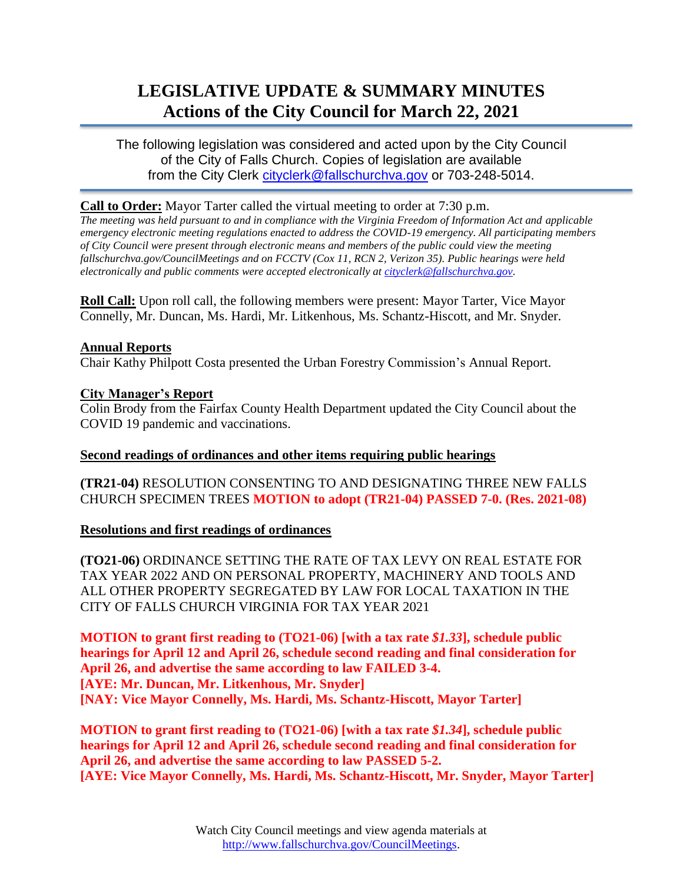# **LEGISLATIVE UPDATE & SUMMARY MINUTES Actions of the City Council for March 22, 2021**

The following legislation was considered and acted upon by the City Council of the City of Falls Church. Copies of legislation are available from the City Clerk [cityclerk@fallschurchva.gov](mailto:cityclerk@fallschurchva.gov) or 703-248-5014.

## **Call to Order:** Mayor Tarter called the virtual meeting to order at 7:30 p.m.

*The meeting was held pursuant to and in compliance with the Virginia Freedom of Information Act and applicable emergency electronic meeting regulations enacted to address the COVID-19 emergency. All participating members of City Council were present through electronic means and members of the public could view the meeting fallschurchva.gov/CouncilMeetings and on FCCTV (Cox 11, RCN 2, Verizon 35). Public hearings were held electronically and public comments were accepted electronically a[t cityclerk@fallschurchva.gov.](mailto:cityclerk@fallschurchva.gov)*

**Roll Call:** Upon roll call, the following members were present: Mayor Tarter, Vice Mayor Connelly, Mr. Duncan, Ms. Hardi, Mr. Litkenhous, Ms. Schantz-Hiscott, and Mr. Snyder.

### **Annual Reports**

Chair Kathy Philpott Costa presented the Urban Forestry Commission's Annual Report.

## **City Manager's Report**

Colin Brody from the Fairfax County Health Department updated the City Council about the COVID 19 pandemic and vaccinations.

# **Second readings of ordinances and other items requiring public hearings**

**(TR21-04)** RESOLUTION CONSENTING TO AND DESIGNATING THREE NEW FALLS CHURCH SPECIMEN TREES **MOTION to adopt (TR21-04) PASSED 7-0. (Res. 2021-08)**

### **Resolutions and first readings of ordinances**

**(TO21-06)** ORDINANCE SETTING THE RATE OF TAX LEVY ON REAL ESTATE FOR TAX YEAR 2022 AND ON PERSONAL PROPERTY, MACHINERY AND TOOLS AND ALL OTHER PROPERTY SEGREGATED BY LAW FOR LOCAL TAXATION IN THE CITY OF FALLS CHURCH VIRGINIA FOR TAX YEAR 2021

**MOTION to grant first reading to (TO21-06) [with a tax rate** *\$1.33***], schedule public hearings for April 12 and April 26, schedule second reading and final consideration for April 26, and advertise the same according to law FAILED 3-4. [AYE: Mr. Duncan, Mr. Litkenhous, Mr. Snyder] [NAY: Vice Mayor Connelly, Ms. Hardi, Ms. Schantz-Hiscott, Mayor Tarter]** 

**MOTION to grant first reading to (TO21-06) [with a tax rate** *\$1.34***], schedule public hearings for April 12 and April 26, schedule second reading and final consideration for April 26, and advertise the same according to law PASSED 5-2. [AYE: Vice Mayor Connelly, Ms. Hardi, Ms. Schantz-Hiscott, Mr. Snyder, Mayor Tarter]**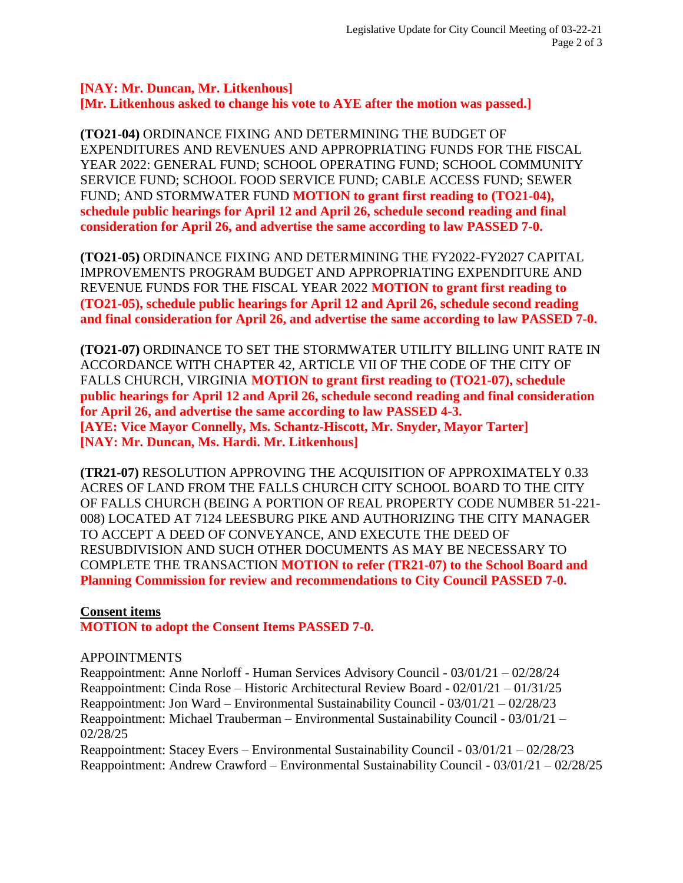### **[NAY: Mr. Duncan, Mr. Litkenhous] [Mr. Litkenhous asked to change his vote to AYE after the motion was passed.]**

**(TO21-04)** ORDINANCE FIXING AND DETERMINING THE BUDGET OF EXPENDITURES AND REVENUES AND APPROPRIATING FUNDS FOR THE FISCAL YEAR 2022: GENERAL FUND; SCHOOL OPERATING FUND; SCHOOL COMMUNITY SERVICE FUND; SCHOOL FOOD SERVICE FUND; CABLE ACCESS FUND; SEWER FUND; AND STORMWATER FUND **MOTION to grant first reading to (TO21-04), schedule public hearings for April 12 and April 26, schedule second reading and final consideration for April 26, and advertise the same according to law PASSED 7-0.**

**(TO21-05)** ORDINANCE FIXING AND DETERMINING THE FY2022-FY2027 CAPITAL IMPROVEMENTS PROGRAM BUDGET AND APPROPRIATING EXPENDITURE AND REVENUE FUNDS FOR THE FISCAL YEAR 2022 **MOTION to grant first reading to (TO21-05), schedule public hearings for April 12 and April 26, schedule second reading and final consideration for April 26, and advertise the same according to law PASSED 7-0.**

**(TO21-07)** ORDINANCE TO SET THE STORMWATER UTILITY BILLING UNIT RATE IN ACCORDANCE WITH CHAPTER 42, ARTICLE VII OF THE CODE OF THE CITY OF FALLS CHURCH, VIRGINIA **MOTION to grant first reading to (TO21-07), schedule public hearings for April 12 and April 26, schedule second reading and final consideration for April 26, and advertise the same according to law PASSED 4-3. [AYE: Vice Mayor Connelly, Ms. Schantz-Hiscott, Mr. Snyder, Mayor Tarter] [NAY: Mr. Duncan, Ms. Hardi. Mr. Litkenhous]**

**(TR21-07)** RESOLUTION APPROVING THE ACQUISITION OF APPROXIMATELY 0.33 ACRES OF LAND FROM THE FALLS CHURCH CITY SCHOOL BOARD TO THE CITY OF FALLS CHURCH (BEING A PORTION OF REAL PROPERTY CODE NUMBER 51-221- 008) LOCATED AT 7124 LEESBURG PIKE AND AUTHORIZING THE CITY MANAGER TO ACCEPT A DEED OF CONVEYANCE, AND EXECUTE THE DEED OF RESUBDIVISION AND SUCH OTHER DOCUMENTS AS MAY BE NECESSARY TO COMPLETE THE TRANSACTION **MOTION to refer (TR21-07) to the School Board and Planning Commission for review and recommendations to City Council PASSED 7-0.**

### **Consent items**

**MOTION to adopt the Consent Items PASSED 7-0.**

### APPOINTMENTS

Reappointment: Anne Norloff - Human Services Advisory Council - 03/01/21 – 02/28/24 Reappointment: Cinda Rose – Historic Architectural Review Board - 02/01/21 – 01/31/25 Reappointment: Jon Ward – Environmental Sustainability Council - 03/01/21 – 02/28/23 Reappointment: Michael Trauberman – Environmental Sustainability Council - 03/01/21 – 02/28/25

Reappointment: Stacey Evers – Environmental Sustainability Council - 03/01/21 – 02/28/23 Reappointment: Andrew Crawford – Environmental Sustainability Council - 03/01/21 – 02/28/25